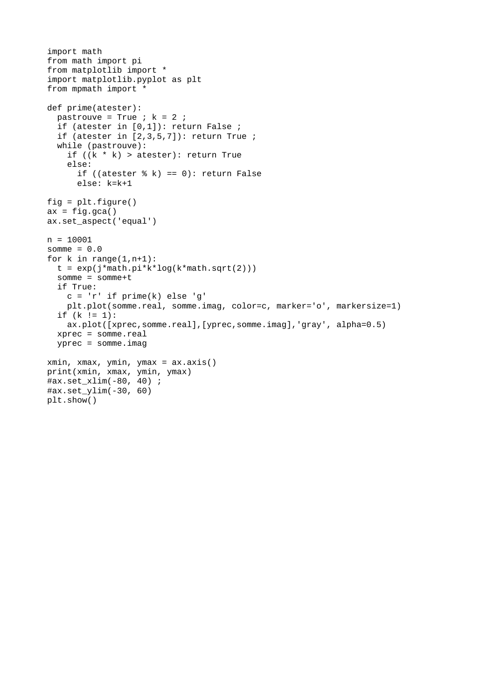```
import math
from math import pi
from matplotlib import *
import matplotlib.pyplot as plt
from mpmath import *
def prime(atester):
  pastrouve = True ; k = 2 ;
   if (atester in [0,1]): return False ;
   if (atester in [2,3,5,7]): return True ;
   while (pastrouve):
    if ((k * k) > \text{atester}): return True
     else:
      if ((atester % k) == \theta): return False
       else: k=k+1
fig = plt.figure()ax = fig.qca()ax.set_aspect('equal')
n = 10001
somme = 0.0for k in range(1, n+1):
  t = exp(j*math.pi*k*log(k*math.sqrt(2)))some = somme+t if True:
    c = 'r' if prime(k) else 'g'
     plt.plot(somme.real, somme.imag, color=c, marker='o', markersize=1)
  if (k != 1):
     ax.plot([xprec,somme.real],[yprec,somme.imag],'gray', alpha=0.5)
  xprec = somme.real
  yprec = somme.imag
xmin, xmax, ymin, ymax = ax.axis()
print(xmin, xmax, ymin, ymax)
#ax.set_xlim(-80, 40) ;
#ax.set_ylim(-30, 60)
plt.show()
```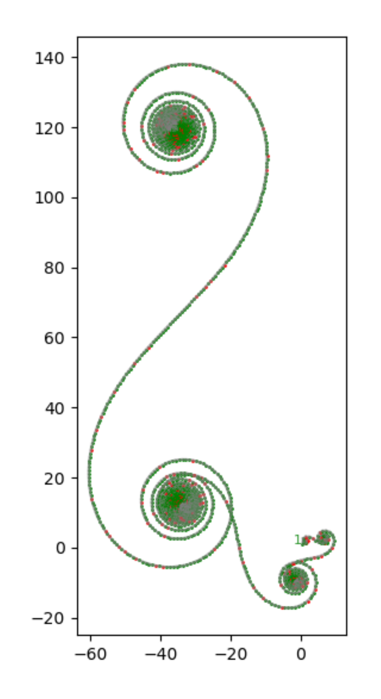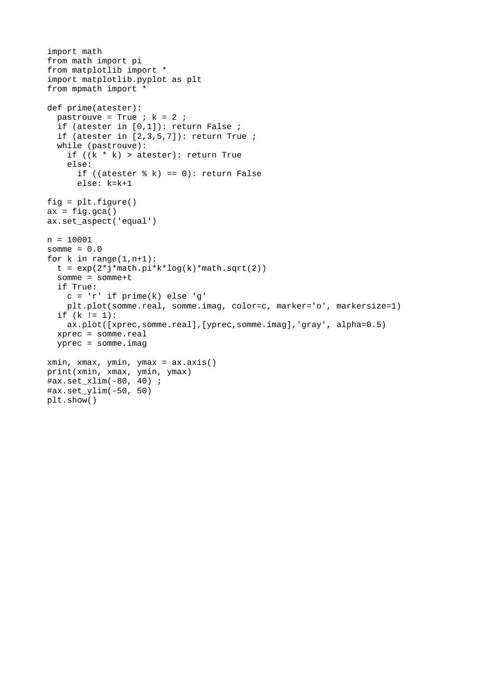```
import math
from math import pi
from matplotlib import *
import matplotlib.pyplot as plt
from mpmath import *
def prime(atester):
  pastrouve = True ; k = 2 ;
   if (atester in [0,1]): return False ;
   if (atester in [2,3,5,7]): return True ;
   while (pastrouve):
    if ((k * k) > \text{atester}): return True
     else:
      if ((atester % k) == \theta): return False
       else: k=k+1
fig = plt.figure()ax = fig.qca()ax.set_aspect('equal')
n = 10001
somme = 0.0for k in range(1, n+1):
  t = exp(2 * j * math.p i * k * log(k) * math.sqrt(2))some = somme+t if True:
    c = 'r' if prime(k) else 'g'
     plt.plot(somme.real, somme.imag, color=c, marker='o', markersize=1)
  if (k != 1):
     ax.plot([xprec,somme.real],[yprec,somme.imag],'gray', alpha=0.5)
  xprec = somme.real
  yprec = somme.imag
xmin, xmax, ymin, ymax = ax.axis()
print(xmin, xmax, ymin, ymax)
#ax.set_xlim(-80, 40) ;
#ax.set_ylim(-50, 50)
plt.show()
```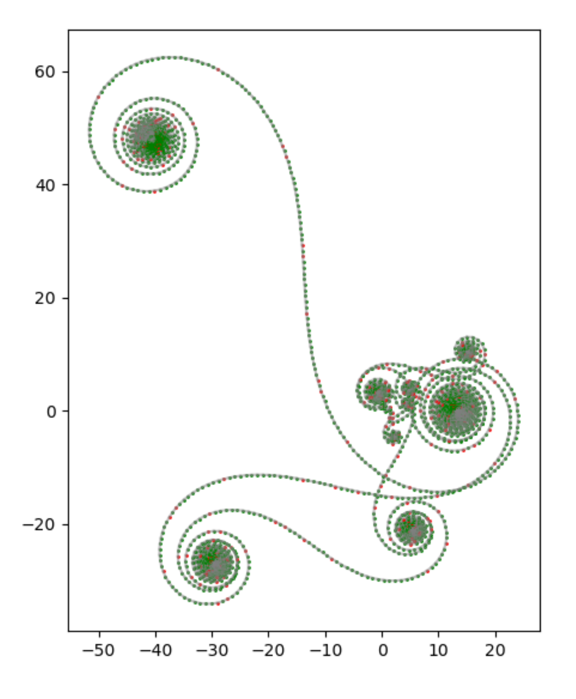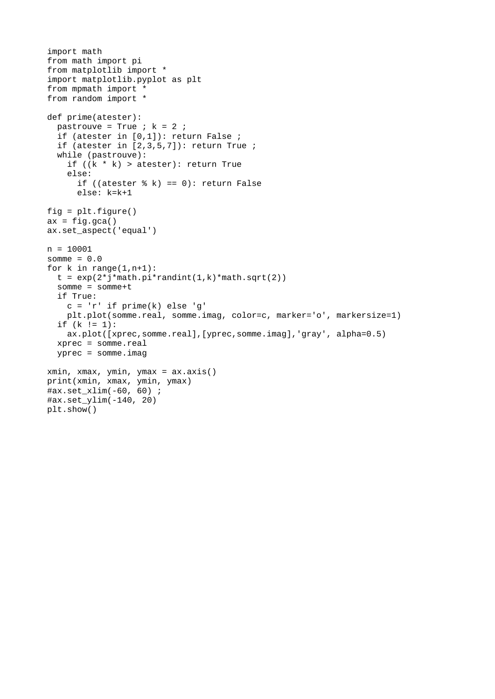```
import math
from math import pi
from matplotlib import *
import matplotlib.pyplot as plt
from mpmath import *
from random import *
def prime(atester):
  pastrouve = True ; k = 2 ;
   if (atester in [0,1]): return False ;
  if (atester in [2,3,5,7]): return True;
   while (pastrouve):
    if ((k * k) > \text{atester}): return True
     else:
      if ((atester % k) == \theta): return False
       else: k=k+1
fig = plt.figure()ax = fig.qca()ax.set_aspect('equal')
n = 10001somme = 0.0for k in range(1, n+1):
  t = exp(2^{\star}j^{*}math.pi^{*}randint(1,k)^{*}math.sqrt(2))somme = sommet if True:
    c = 'r' if prime(k) else 'g'
     plt.plot(somme.real, somme.imag, color=c, marker='o', markersize=1)
  if (k != 1):
     ax.plot([xprec,somme.real],[yprec,somme.imag],'gray', alpha=0.5)
  xprec = somme.real
   yprec = somme.imag
xmin, xmax, ymin, ymax = ax.axis()
print(xmin, xmax, ymin, ymax)
#ax.set_xlim(-60, 60) ;
#ax.set_ylim(-140, 20)
plt.show()
```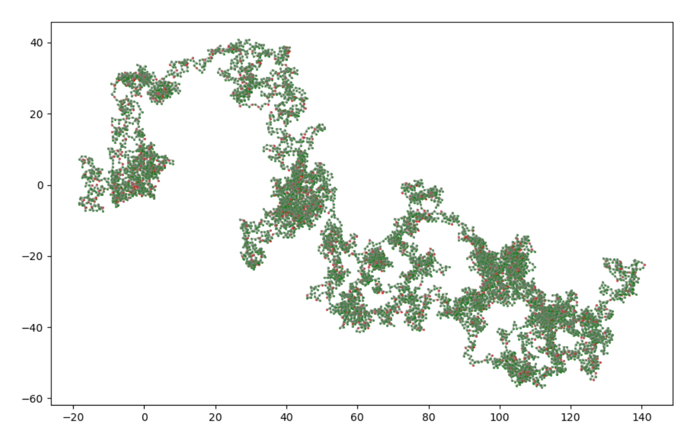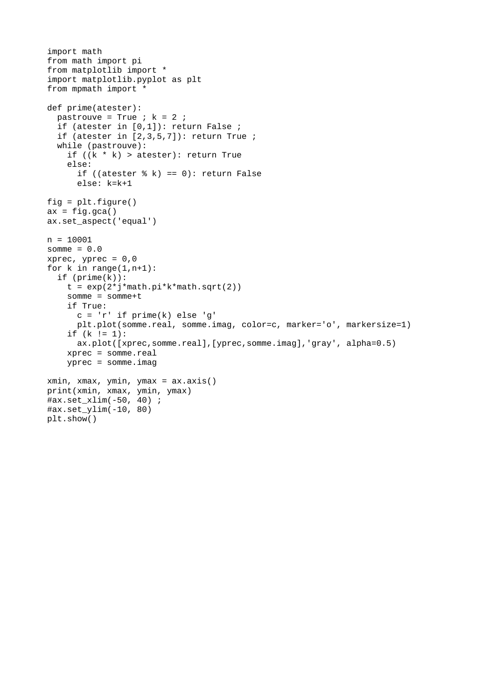```
import math
from math import pi
from matplotlib import *
import matplotlib.pyplot as plt
from mpmath import *
def prime(atester):
  pastrouve = True ; k = 2 ;
   if (atester in [0,1]): return False ;
   if (atester in [2,3,5,7]): return True ;
   while (pastrouve):
    if ((k * k) > \text{atester}): return True
     else:
      if ((atester % k) == \theta): return False
       else: k=k+1
fig = plt.figure()ax = fig.qca()ax.set_aspect('equal')
n = 10001
somme = 0.0xprec, yprec = 0,0for k in range(1, n+1):
   if (prime(k)):
    t = exp(2 \times i \times math \cdot pi \times k \times math \cdot sqrt(2)) somme = somme+t
     if True:
      c = 'r' if prime(k) else 'g'
       plt.plot(somme.real, somme.imag, color=c, marker='o', markersize=1)
    if (k != 1):
       ax.plot([xprec,somme.real],[yprec,somme.imag],'gray', alpha=0.5)
    xprec = somme.real
    yprec = somme.imag
xmin, xmax, ymin, ymax = ax.axis()
print(xmin, xmax, ymin, ymax)
#ax.set_xlim(-50, 40) ;
#ax.set_ylim(-10, 80)
plt.show()
```